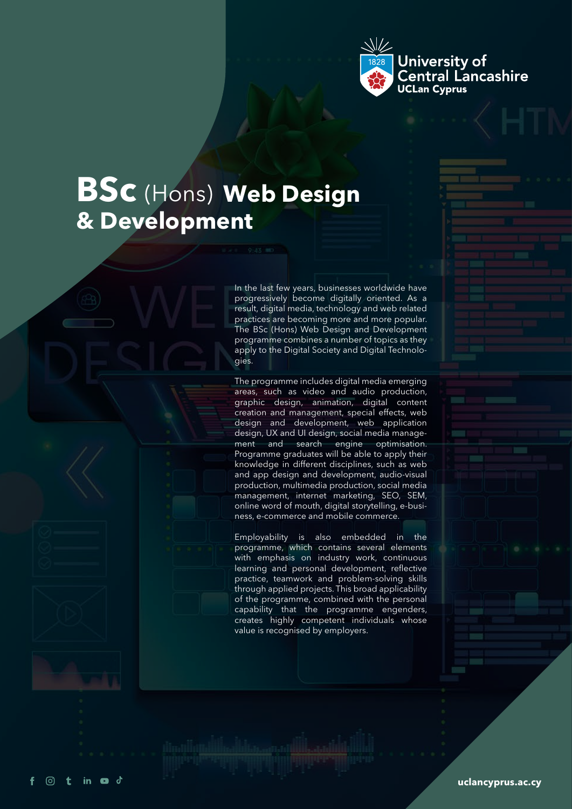

## **BSc** (Hons) **Web Design & Development**

in  $\bullet$  d

ි  $\ddot{\phantom{1}}$  In the last few years, businesses worldwide have progressively become digitally oriented. As a result, digital media, technology and web related practices are becoming more and more popular. The BSc (Hons) Web Design and Development programme combines a number of topics as they apply to the Digital Society and Digital Technologies.

The programme includes digital media emerging areas, such as video and audio production, graphic design, animation, digital content creation and management, special effects, web design and development, web application design, UX and UI design, social media management and search engine optimisation. Programme graduates will be able to apply their knowledge in different disciplines, such as web and app design and development, audio-visual production, multimedia production, social media management, internet marketing, SEO, SEM, online word of mouth, digital storytelling, e-business, e-commerce and mobile commerce.

Employability is also embedded in the programme, which contains several elements with emphasis on industry work, continuous learning and personal development, reflective practice, teamwork and problem-solving skills through applied projects. This broad applicability of the programme, combined with the personal capability that the programme engenders, creates highly competent individuals whose value is recognised by employers.